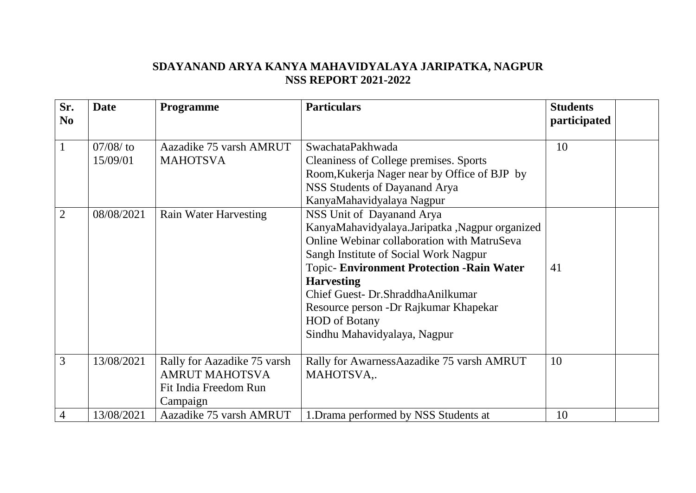## **SDAYANAND ARYA KANYA MAHAVIDYALAYA JARIPATKA, NAGPUR NSS REPORT 2021-2022**

| Sr.<br>N <sub>o</sub> | <b>Date</b>                           | <b>Programme</b>                                                              | <b>Particulars</b>                                                                                                                                                                                                                                                                                                                                                                                                                                                                                                                                             | <b>Students</b><br>participated |  |
|-----------------------|---------------------------------------|-------------------------------------------------------------------------------|----------------------------------------------------------------------------------------------------------------------------------------------------------------------------------------------------------------------------------------------------------------------------------------------------------------------------------------------------------------------------------------------------------------------------------------------------------------------------------------------------------------------------------------------------------------|---------------------------------|--|
| $\overline{2}$        | $07/08/$ to<br>15/09/01<br>08/08/2021 | Aazadike 75 varsh AMRUT<br><b>MAHOTSVA</b><br><b>Rain Water Harvesting</b>    | SwachataPakhwada<br>Cleaniness of College premises. Sports<br>Room, Kukerja Nager near by Office of BJP by<br>NSS Students of Dayanand Arya<br>KanyaMahavidyalaya Nagpur<br>NSS Unit of Dayanand Arya<br>KanyaMahavidyalaya.Jaripatka, Nagpur organized<br>Online Webinar collaboration with MatruSeva<br>Sangh Institute of Social Work Nagpur<br><b>Topic-Environment Protection -Rain Water</b><br><b>Harvesting</b><br>Chief Guest- Dr.ShraddhaAnilkumar<br>Resource person - Dr Rajkumar Khapekar<br><b>HOD</b> of Botany<br>Sindhu Mahavidyalaya, Nagpur | 10<br>41                        |  |
| 3                     | 13/08/2021                            | Rally for Aazadike 75 varsh<br><b>AMRUT MAHOTSVA</b><br>Fit India Freedom Run | Rally for AwarnessAazadike 75 varsh AMRUT<br>MAHOTSVA,.                                                                                                                                                                                                                                                                                                                                                                                                                                                                                                        | 10                              |  |
| $\overline{4}$        | 13/08/2021                            | Campaign<br>Aazadike 75 varsh AMRUT                                           | 1. Drama performed by NSS Students at                                                                                                                                                                                                                                                                                                                                                                                                                                                                                                                          | 10                              |  |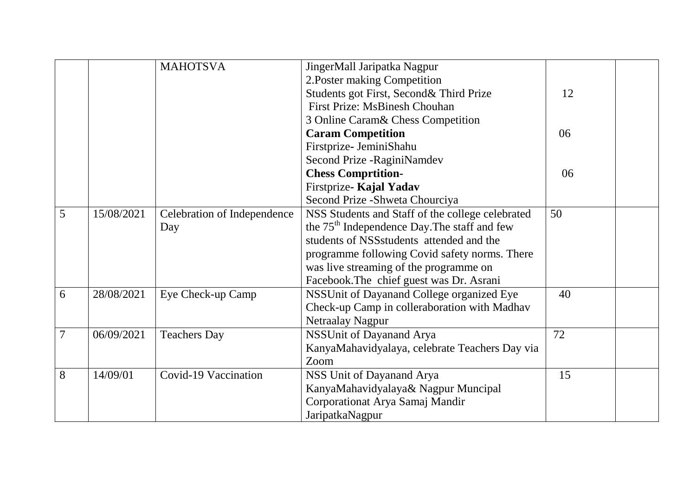|                |            | <b>MAHOTSVA</b>             | JingerMall Jaripatka Nagpur                              |    |  |
|----------------|------------|-----------------------------|----------------------------------------------------------|----|--|
|                |            |                             | 2. Poster making Competition                             |    |  |
|                |            |                             | Students got First, Second& Third Prize                  | 12 |  |
|                |            |                             | <b>First Prize: MsBinesh Chouhan</b>                     |    |  |
|                |            |                             | 3 Online Caram& Chess Competition                        |    |  |
|                |            |                             | <b>Caram Competition</b>                                 | 06 |  |
|                |            |                             | Firstprize- JeminiShahu                                  |    |  |
|                |            |                             | Second Prize - RaginiNamdev                              |    |  |
|                |            |                             | <b>Chess Comprtition-</b>                                | 06 |  |
|                |            |                             | Firstprize- Kajal Yadav                                  |    |  |
|                |            |                             | Second Prize - Shweta Chourciya                          |    |  |
| 5              | 15/08/2021 | Celebration of Independence | NSS Students and Staff of the college celebrated         | 50 |  |
|                |            | Day                         | the 75 <sup>th</sup> Independence Day. The staff and few |    |  |
|                |            |                             | students of NSS students attended and the                |    |  |
|                |            |                             | programme following Covid safety norms. There            |    |  |
|                |            |                             | was live streaming of the programme on                   |    |  |
|                |            |                             | Facebook. The chief guest was Dr. Asrani                 |    |  |
| 6              | 28/08/2021 | Eye Check-up Camp           | NSSUnit of Dayanand College organized Eye                | 40 |  |
|                |            |                             | Check-up Camp in colleraboration with Madhav             |    |  |
|                |            |                             | Netraalay Nagpur                                         |    |  |
| $\overline{7}$ | 06/09/2021 | <b>Teachers Day</b>         | NSSUnit of Dayanand Arya                                 | 72 |  |
|                |            |                             | KanyaMahavidyalaya, celebrate Teachers Day via           |    |  |
|                |            |                             | Zoom                                                     |    |  |
| 8              | 14/09/01   | Covid-19 Vaccination        | NSS Unit of Dayanand Arya                                | 15 |  |
|                |            |                             | KanyaMahavidyalaya& Nagpur Muncipal                      |    |  |
|                |            |                             | Corporationat Arya Samaj Mandir                          |    |  |
|                |            |                             | JaripatkaNagpur                                          |    |  |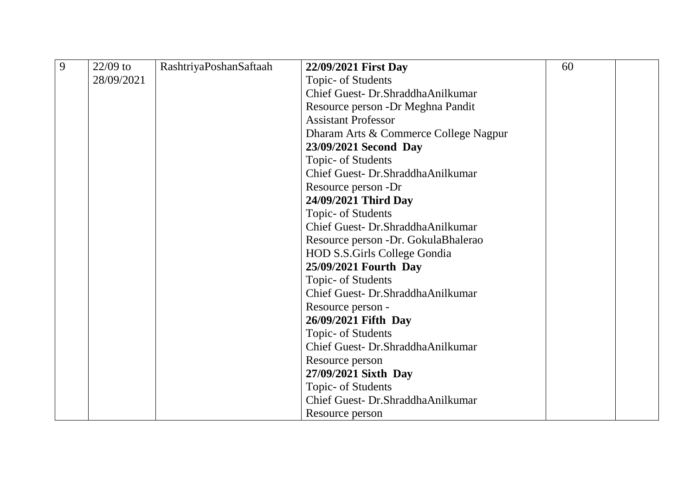| 9 | $22/09$ to | RashtriyaPoshanSaftaah | 22/09/2021 First Day                  | 60 |  |
|---|------------|------------------------|---------------------------------------|----|--|
|   | 28/09/2021 |                        | Topic- of Students                    |    |  |
|   |            |                        | Chief Guest- Dr.ShraddhaAnilkumar     |    |  |
|   |            |                        | Resource person - Dr Meghna Pandit    |    |  |
|   |            |                        | <b>Assistant Professor</b>            |    |  |
|   |            |                        | Dharam Arts & Commerce College Nagpur |    |  |
|   |            |                        | 23/09/2021 Second Day                 |    |  |
|   |            |                        | Topic- of Students                    |    |  |
|   |            |                        | Chief Guest- Dr.ShraddhaAnilkumar     |    |  |
|   |            |                        | Resource person -Dr                   |    |  |
|   |            |                        | 24/09/2021 Third Day                  |    |  |
|   |            |                        | Topic- of Students                    |    |  |
|   |            |                        | Chief Guest- Dr.ShraddhaAnilkumar     |    |  |
|   |            |                        | Resource person -Dr. GokulaBhalerao   |    |  |
|   |            |                        | <b>HOD S.S.Girls College Gondia</b>   |    |  |
|   |            |                        | 25/09/2021 Fourth Day                 |    |  |
|   |            |                        | Topic- of Students                    |    |  |
|   |            |                        | Chief Guest- Dr.ShraddhaAnilkumar     |    |  |
|   |            |                        | Resource person -                     |    |  |
|   |            |                        | 26/09/2021 Fifth Day                  |    |  |
|   |            |                        | Topic- of Students                    |    |  |
|   |            |                        | Chief Guest- Dr.ShraddhaAnilkumar     |    |  |
|   |            |                        | Resource person                       |    |  |
|   |            |                        | 27/09/2021 Sixth Day                  |    |  |
|   |            |                        | Topic- of Students                    |    |  |
|   |            |                        | Chief Guest- Dr.ShraddhaAnilkumar     |    |  |
|   |            |                        | Resource person                       |    |  |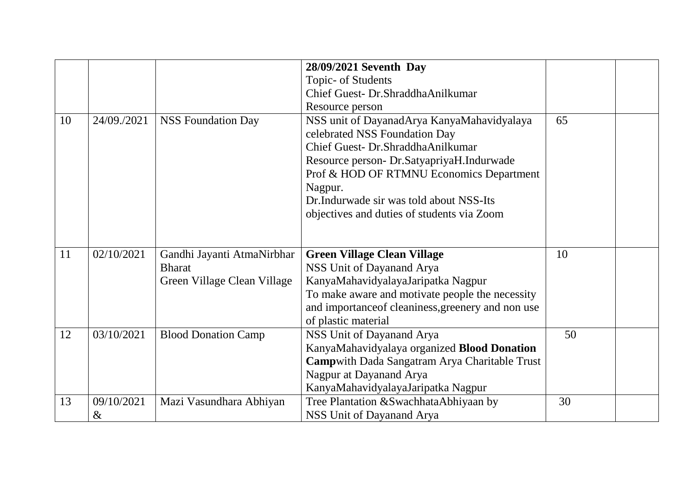|    |                    |                                                                            | 28/09/2021 Seventh Day                                                                                                                                                                                                                                                                                        |    |  |
|----|--------------------|----------------------------------------------------------------------------|---------------------------------------------------------------------------------------------------------------------------------------------------------------------------------------------------------------------------------------------------------------------------------------------------------------|----|--|
|    |                    |                                                                            | Topic- of Students                                                                                                                                                                                                                                                                                            |    |  |
|    |                    |                                                                            | Chief Guest- Dr.ShraddhaAnilkumar                                                                                                                                                                                                                                                                             |    |  |
|    |                    |                                                                            | Resource person                                                                                                                                                                                                                                                                                               |    |  |
| 10 | 24/09./2021        | <b>NSS Foundation Day</b>                                                  | NSS unit of DayanadArya KanyaMahavidyalaya<br>celebrated NSS Foundation Day<br>Chief Guest- Dr.ShraddhaAnilkumar<br>Resource person- Dr.SatyapriyaH.Indurwade<br>Prof & HOD OF RTMNU Economics Department<br>Nagpur.<br>Dr.Indurwade sir was told about NSS-Its<br>objectives and duties of students via Zoom | 65 |  |
| 11 | 02/10/2021         | Gandhi Jayanti AtmaNirbhar<br><b>Bharat</b><br>Green Village Clean Village | <b>Green Village Clean Village</b><br>NSS Unit of Dayanand Arya<br>KanyaMahavidyalayaJaripatka Nagpur<br>To make aware and motivate people the necessity<br>and importanceof cleaniness, greenery and non use<br>of plastic material                                                                          | 10 |  |
| 12 | 03/10/2021         | <b>Blood Donation Camp</b>                                                 | NSS Unit of Dayanand Arya<br>KanyaMahavidyalaya organized Blood Donation<br>Campwith Dada Sangatram Arya Charitable Trust<br>Nagpur at Dayanand Arya<br>KanyaMahavidyalayaJaripatka Nagpur                                                                                                                    | 50 |  |
| 13 | 09/10/2021<br>$\&$ | Mazi Vasundhara Abhiyan                                                    | Tree Plantation & Swachhata Abhiyaan by<br>NSS Unit of Dayanand Arya                                                                                                                                                                                                                                          | 30 |  |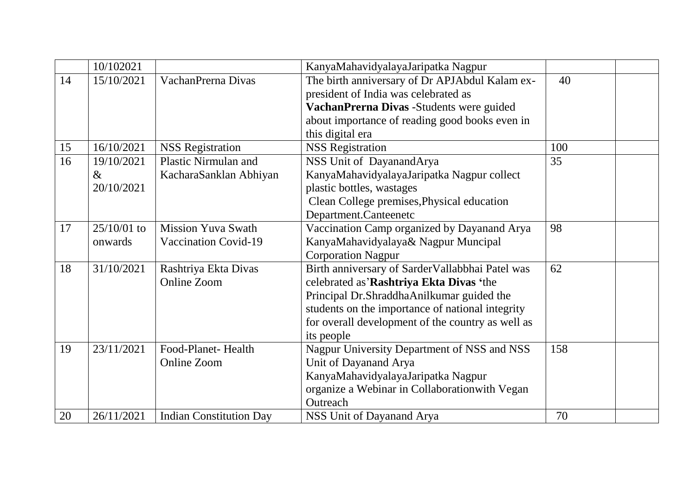|    | 10/102021     |                                | KanyaMahavidyalayaJaripatka Nagpur                |     |  |
|----|---------------|--------------------------------|---------------------------------------------------|-----|--|
| 14 | 15/10/2021    | VachanPrerna Divas             | The birth anniversary of Dr APJAbdul Kalam ex-    | 40  |  |
|    |               |                                | president of India was celebrated as              |     |  |
|    |               |                                | VachanPrerna Divas -Students were guided          |     |  |
|    |               |                                | about importance of reading good books even in    |     |  |
|    |               |                                | this digital era                                  |     |  |
| 15 | 16/10/2021    | <b>NSS Registration</b>        | <b>NSS Registration</b>                           | 100 |  |
| 16 | 19/10/2021    | Plastic Nirmulan and           | NSS Unit of DayanandArya                          | 35  |  |
|    | $\&$          | KacharaSanklan Abhiyan         | KanyaMahavidyalayaJaripatka Nagpur collect        |     |  |
|    | 20/10/2021    |                                | plastic bottles, wastages                         |     |  |
|    |               |                                | Clean College premises, Physical education        |     |  |
|    |               |                                | Department.Canteenetc                             |     |  |
| 17 | $25/10/01$ to | <b>Mission Yuva Swath</b>      | Vaccination Camp organized by Dayanand Arya       | 98  |  |
|    | onwards       | Vaccination Covid-19           | KanyaMahavidyalaya& Nagpur Muncipal               |     |  |
|    |               |                                | <b>Corporation Nagpur</b>                         |     |  |
| 18 | 31/10/2021    | Rashtriya Ekta Divas           | Birth anniversary of SarderVallabbhai Patel was   | 62  |  |
|    |               | Online Zoom                    | celebrated as'Rashtriya Ekta Divas 'the           |     |  |
|    |               |                                | Principal Dr.ShraddhaAnilkumar guided the         |     |  |
|    |               |                                | students on the importance of national integrity  |     |  |
|    |               |                                | for overall development of the country as well as |     |  |
|    |               |                                | its people                                        |     |  |
| 19 | 23/11/2021    | Food-Planet-Health             | Nagpur University Department of NSS and NSS       | 158 |  |
|    |               | <b>Online Zoom</b>             | Unit of Dayanand Arya                             |     |  |
|    |               |                                | KanyaMahavidyalayaJaripatka Nagpur                |     |  |
|    |               |                                | organize a Webinar in Collaboration with Vegan    |     |  |
|    |               |                                | Outreach                                          |     |  |
| 20 | 26/11/2021    | <b>Indian Constitution Day</b> | NSS Unit of Dayanand Arya                         | 70  |  |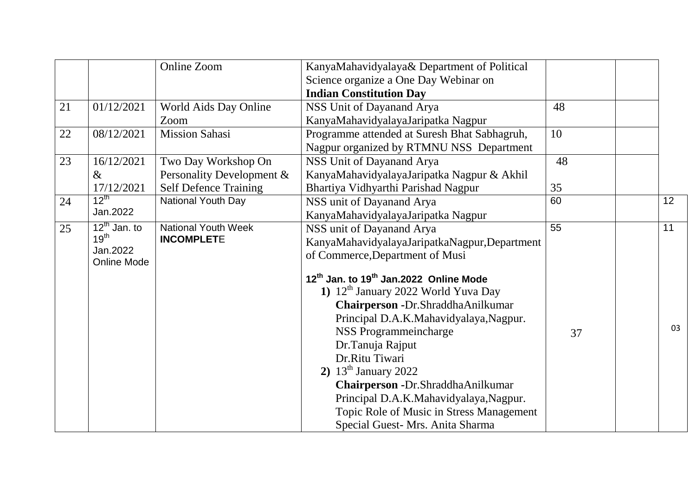|    |                                | Online Zoom                  | KanyaMahavidyalaya& Department of Political                    |                 |    |
|----|--------------------------------|------------------------------|----------------------------------------------------------------|-----------------|----|
|    |                                |                              | Science organize a One Day Webinar on                          |                 |    |
|    |                                |                              | <b>Indian Constitution Day</b>                                 |                 |    |
| 21 | 01/12/2021                     | World Aids Day Online        | NSS Unit of Dayanand Arya                                      | 48              |    |
|    |                                | Zoom                         | KanyaMahavidyalayaJaripatka Nagpur                             |                 |    |
| 22 | 08/12/2021                     | <b>Mission Sahasi</b>        | Programme attended at Suresh Bhat Sabhagruh,                   | 10              |    |
|    |                                |                              | Nagpur organized by RTMNU NSS Department                       |                 |    |
| 23 | 16/12/2021                     | Two Day Workshop On          | NSS Unit of Dayanand Arya                                      | 48              |    |
|    | $\&$                           | Personality Development &    | KanyaMahavidyalayaJaripatka Nagpur & Akhil                     |                 |    |
|    | 17/12/2021                     | <b>Self Defence Training</b> | Bhartiya Vidhyarthi Parishad Nagpur                            | 35              |    |
| 24 | $12^{th}$                      | National Youth Day           | NSS unit of Dayanand Arya                                      | 60              | 12 |
|    | Jan.2022                       |                              | KanyaMahavidyalayaJaripatka Nagpur                             |                 |    |
| 25 | $12^{\text{th}}$ Jan. to       | <b>National Youth Week</b>   | NSS unit of Dayanand Arya                                      | $\overline{55}$ | 11 |
|    | 19 <sup>th</sup>               | <b>INCOMPLETE</b>            | KanyaMahavidyalayaJaripatkaNagpur,Department                   |                 |    |
|    | Jan.2022<br><b>Online Mode</b> |                              | of Commerce, Department of Musi                                |                 |    |
|    |                                |                              |                                                                |                 |    |
|    |                                |                              | 12 <sup>th</sup> Jan. to 19 <sup>th</sup> Jan.2022 Online Mode |                 |    |
|    |                                |                              | 1) 12 <sup>th</sup> January 2022 World Yuva Day                |                 |    |
|    |                                |                              | Chairperson - Dr. Shraddha Anilkumar                           |                 |    |
|    |                                |                              | Principal D.A.K.Mahavidyalaya,Nagpur.                          |                 | 03 |
|    |                                |                              | NSS Programmeincharge                                          | 37              |    |
|    |                                |                              | Dr.Tanuja Rajput                                               |                 |    |
|    |                                |                              | Dr.Ritu Tiwari                                                 |                 |    |
|    |                                |                              | 2) $13^{\text{th}}$ January 2022                               |                 |    |
|    |                                |                              | Chairperson - Dr. Shraddha Anilkumar                           |                 |    |
|    |                                |                              | Principal D.A.K.Mahavidyalaya,Nagpur.                          |                 |    |
|    |                                |                              | Topic Role of Music in Stress Management                       |                 |    |
|    |                                |                              | Special Guest- Mrs. Anita Sharma                               |                 |    |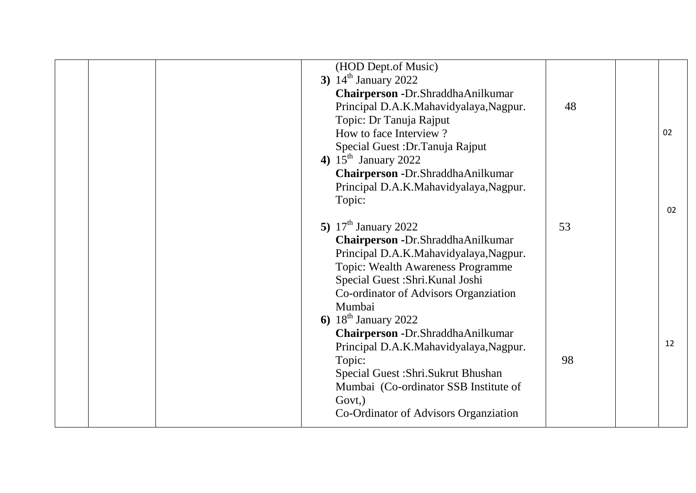|  | (HOD Dept.of Music)<br>3) $14^{\text{th}}$ January 2022<br>Chairperson - Dr. Shraddha Anilkumar<br>Principal D.A.K.Mahavidyalaya,Nagpur.<br>Topic: Dr Tanuja Rajput<br>How to face Interview?<br>Special Guest : Dr. Tanuja Rajput<br>4) $15^{\text{th}}$ January 2022<br>Chairperson - Dr. Shraddha Anilkumar<br>Principal D.A.K.Mahavidyalaya,Nagpur.<br>Topic:                                                                                                                                       | 48       | 02<br>02 |
|--|---------------------------------------------------------------------------------------------------------------------------------------------------------------------------------------------------------------------------------------------------------------------------------------------------------------------------------------------------------------------------------------------------------------------------------------------------------------------------------------------------------|----------|----------|
|  | 5) $17th$ January 2022<br>Chairperson - Dr. Shraddha Anilkumar<br>Principal D.A.K.Mahavidyalaya, Nagpur.<br><b>Topic: Wealth Awareness Programme</b><br>Special Guest: Shri. Kunal Joshi<br>Co-ordinator of Advisors Organziation<br>Mumbai<br>6) $18^{th}$ January 2022<br>Chairperson - Dr. Shraddha Anilkumar<br>Principal D.A.K.Mahavidyalaya,Nagpur.<br>Topic:<br>Special Guest : Shri. Sukrut Bhushan<br>Mumbai (Co-ordinator SSB Institute of<br>Govt,)<br>Co-Ordinator of Advisors Organziation | 53<br>98 | 12       |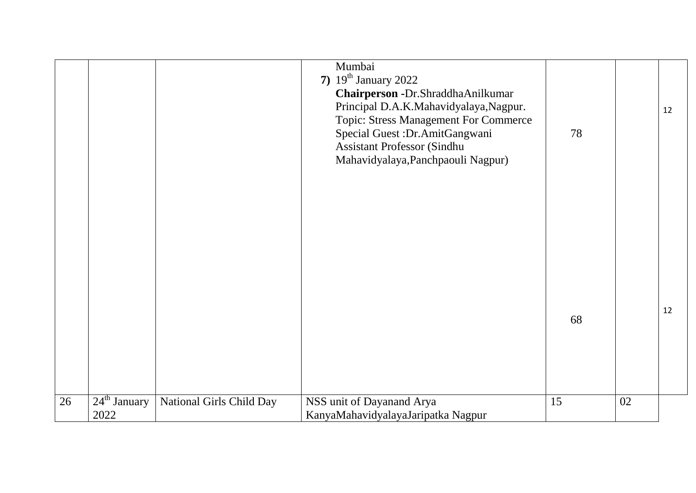|    |                        |                          | Mumbai<br>7) $19^{th}$ January 2022<br>Chairperson -Dr.ShraddhaAnilkumar<br>Principal D.A.K.Mahavidyalaya,Nagpur.<br>Topic: Stress Management For Commerce<br>Special Guest : Dr. AmitGangwani<br><b>Assistant Professor (Sindhu</b><br>Mahavidyalaya, Panchpaouli Nagpur) | 78 |    | 12 |
|----|------------------------|--------------------------|----------------------------------------------------------------------------------------------------------------------------------------------------------------------------------------------------------------------------------------------------------------------------|----|----|----|
|    |                        |                          |                                                                                                                                                                                                                                                                            | 68 |    | 12 |
| 26 | $24th$ January<br>2022 | National Girls Child Day | NSS unit of Dayanand Arya<br>KanyaMahavidyalayaJaripatka Nagpur                                                                                                                                                                                                            | 15 | 02 |    |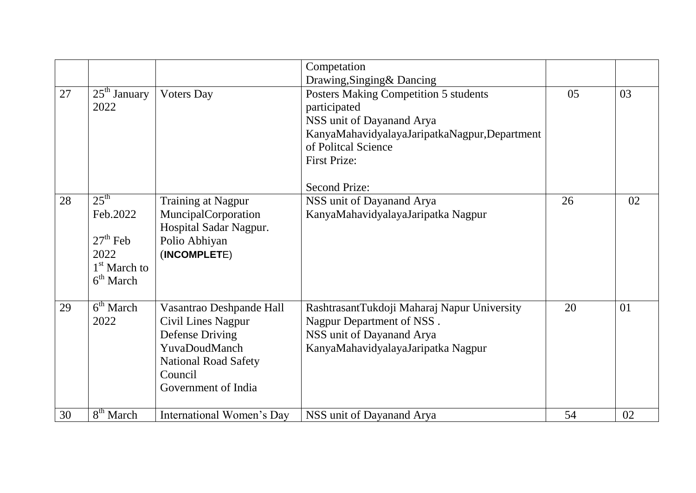|    |                                                                                                         |                                                                                                                                                            | Competation                                                                                                                                                                                              |    |    |
|----|---------------------------------------------------------------------------------------------------------|------------------------------------------------------------------------------------------------------------------------------------------------------------|----------------------------------------------------------------------------------------------------------------------------------------------------------------------------------------------------------|----|----|
|    |                                                                                                         |                                                                                                                                                            | Drawing, Singing & Dancing                                                                                                                                                                               |    |    |
| 27 | $25th$ January<br>2022                                                                                  | <b>Voters Day</b>                                                                                                                                          | Posters Making Competition 5 students<br>participated<br>NSS unit of Dayanand Arya<br>KanyaMahavidyalayaJaripatkaNagpur,Department<br>of Politcal Science<br><b>First Prize:</b><br><b>Second Prize:</b> | 05 | 03 |
| 28 | $25^{\text{th}}$<br>Feb.2022<br>$27th$ Feb<br>2022<br>1 <sup>st</sup> March to<br>6 <sup>th</sup> March | <b>Training at Nagpur</b><br>MuncipalCorporation<br>Hospital Sadar Nagpur.<br>Polio Abhiyan<br>(INCOMPLETE)                                                | NSS unit of Dayanand Arya<br>KanyaMahavidyalayaJaripatka Nagpur                                                                                                                                          | 26 | 02 |
| 29 | $6th$ March<br>2022                                                                                     | Vasantrao Deshpande Hall<br><b>Civil Lines Nagpur</b><br>Defense Driving<br>YuvaDoudManch<br><b>National Road Safety</b><br>Council<br>Government of India | RashtrasantTukdoji Maharaj Napur University<br>Nagpur Department of NSS.<br>NSS unit of Dayanand Arya<br>KanyaMahavidyalayaJaripatka Nagpur                                                              | 20 | 01 |
| 30 | 8 <sup>th</sup> March                                                                                   | International Women's Day                                                                                                                                  | NSS unit of Dayanand Arya                                                                                                                                                                                | 54 | 02 |